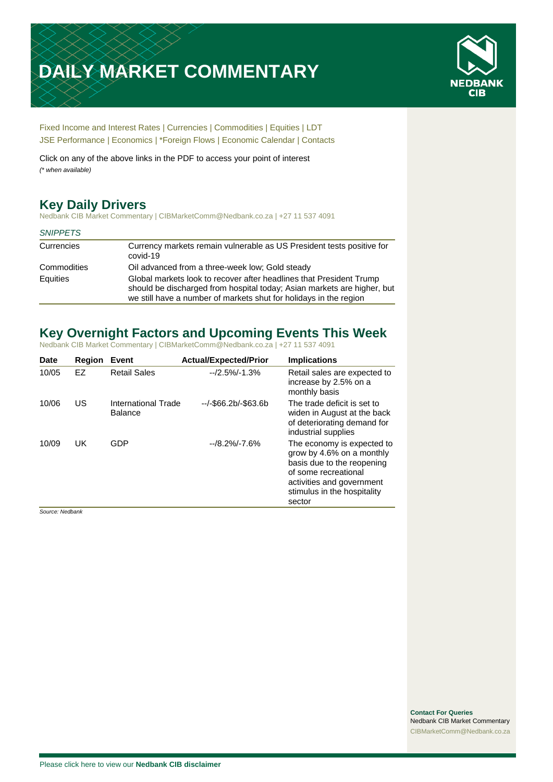# **DAILY MARKET COMMENTARY**



[Fixed Income and Interest Rates](#page-1-0) | [Currencies](#page-2-0) | [Commodities](#page-3-0) [| Equities](#page-4-0) | [LDT](#page-5-0) [JSE Performance](#page-6-0) | [Economics](#page-7-0) | \*Foreign Flows | [Economic Calendar](#page-7-0) | [Contacts](#page-8-0)

Click on any of the above links in the PDF to access your point of interest *(\* when available)*

# **Key Daily Drivers**

Nedbank CIB Market Commentary | CIBMarketComm@Nedbank.co.za | +27 11 537 4091

#### *SNIPPETS*

| Currencies  | Currency markets remain vulnerable as US President tests positive for<br>covid-19                                                                                                                                   |
|-------------|---------------------------------------------------------------------------------------------------------------------------------------------------------------------------------------------------------------------|
| Commodities | Oil advanced from a three-week low; Gold steady                                                                                                                                                                     |
| Equities    | Global markets look to recover after headlines that President Trump<br>should be discharged from hospital today; Asian markets are higher, but<br>we still have a number of markets shut for holidays in the region |

# **Key Overnight Factors and Upcoming Events This Week**

Nedbank CIB Market Commentary | CIBMarketComm@Nedbank.co.za | +27 11 537 4091

| Date  | <b>Region</b> | Event                                 | <b>Actual/Expected/Prior</b> | <b>Implications</b>                                                                                                                                                                 |
|-------|---------------|---------------------------------------|------------------------------|-------------------------------------------------------------------------------------------------------------------------------------------------------------------------------------|
| 10/05 | EZ            | <b>Retail Sales</b>                   | $-12.5\% - 1.3\%$            | Retail sales are expected to<br>increase by 2.5% on a<br>monthly basis                                                                                                              |
| 10/06 | US            | International Trade<br><b>Balance</b> | $-/-$ \$66.2b/-\$63.6b       | The trade deficit is set to<br>widen in August at the back<br>of deteriorating demand for<br>industrial supplies                                                                    |
| 10/09 | UK            | GDP                                   | $-18.2\% - 7.6\%$            | The economy is expected to<br>grow by 4.6% on a monthly<br>basis due to the reopening<br>of some recreational<br>activities and government<br>stimulus in the hospitality<br>sector |

*Source: Nedbank*

**Contact For Queries** Nedbank CIB Market Commentary [CIBMarketComm@Nedbank.co.za](file:///C:/Users/Paul-Rose/AppData/Roaming/Bluecurve/templates/CIBMarketComm@Nedbank.co.za)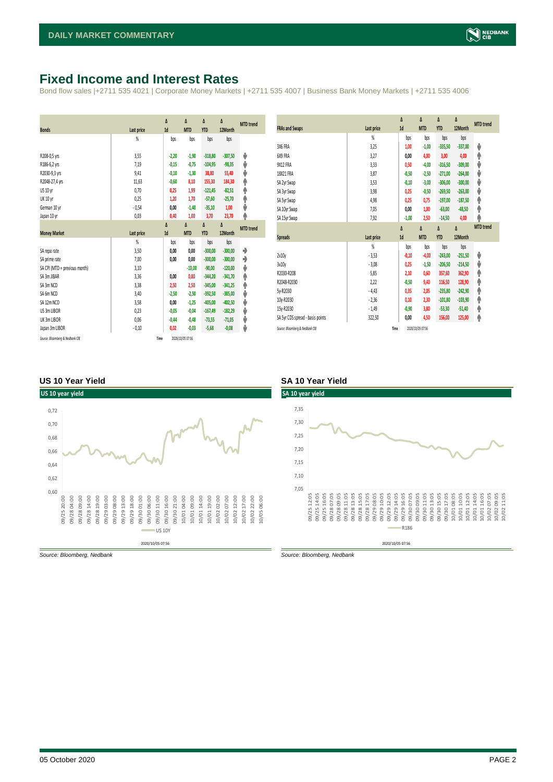# <span id="page-1-0"></span>**Fixed Income and Interest Rates**

Bond flow sales |+2711 535 4021 | Corporate Money Markets | +2711 535 4007 | Business Bank Money Markets | +2711 535 4006

| <b>Bonds</b>                  | <b>Last price</b> | Δ<br>1d | Δ<br><b>MTD</b> | Δ<br><b>YTD</b> | Δ<br>12Month | <b>MTD</b> trend |
|-------------------------------|-------------------|---------|-----------------|-----------------|--------------|------------------|
|                               | %                 | bps     | bps             | bps             | bps          |                  |
|                               |                   |         |                 |                 |              |                  |
| R208-0,5 yrs                  | 3,55              | $-2,20$ | $-1,90$         | $-318,80$       | $-307,50$    | ψ                |
| R186-6,2 yrs                  | 7,19              | $-0,15$ | $-0,75$         | $-104.95$       | $-98,35$     | ψ                |
| R2030-9,3 yrs                 | 9,41              | $-0,10$ | $-1,30$         | 38,80           | 55,40        | ψ                |
| R2048-27,4 yrs                | 11,63             | $-0,60$ | 8,10            | 155,30          | 184,30       | ۸                |
| US 10 yr                      | 0,70              | 0,25    | 1,99            | $-121,45$       | $-82,51$     | φ                |
| <b>UK 10 yr</b>               | 0,25              | 1,20    | 1,70            | $-57,60$        | $-25,70$     | ۸                |
| German 10 yr                  | $-0,54$           | 0,00    | $-1,40$         | $-35,10$        | 1,00         | ψ                |
| Japan 10 yr                   | 0,03              | 0,40    | 1,00            | 3,70            | 23,70        | φ                |
|                               |                   | Δ       | Δ               | Δ               | Δ            |                  |
| <b>Money Market</b>           | Last price        | 1d      | <b>MTD</b>      | <b>YTD</b>      | 12Month      | <b>MTD</b> trend |
|                               | $\frac{9}{20}$    | bps     | bps             | bps             | bps          |                  |
|                               |                   |         |                 |                 |              |                  |
| SA repo rate                  | 3,50              | 0,00    | 0,00            | $-300,00$       | $-300,00$    | ۰                |
| SA prime rate                 | 7,00              | 0,00    | 0,00            | $-300,00$       | $-300,00$    | ٠                |
| SA CPI (MTD = previous month) | 3,10              |         | $-10,00$        | $-90.00$        | $-120,00$    | ψ                |
| SA 3m JIBAR                   | 3,36              | 0,00    | 0,80            | $-344,20$       | $-341,70$    | ۸                |
| SA 3m NCD                     | 3,38              | 2,50    | 2,50            | $-345,00$       | $-341,25$    |                  |
| SA 6m NCD                     | 3,40              | $-2,50$ | $-2,50$         | $-392,50$       | $-385,00$    | ٠<br>ψ           |
| SA 12m NCD                    | 3,58              | 0.00    | $-1,25$         | $-405.00$       | $-402.50$    |                  |
| US 3m LIBOR                   | 0,23              | $-0,05$ | $-0,04$         | $-167,49$       | $-182,29$    | ψ                |
| UK 3m LIBOR                   | 0,06              | $-0,44$ | $-0,48$         | $-73,55$        | $-71,05$     | ψ                |
| Japan 3m LIBOR                | $-0,10$           | 0.02    | $-0.03$         | $-5,68$         | $-0.08$      | ψ<br>ψ           |

| <b>FRAs and Swaps</b>            | Last price | Δ<br>1d | Δ<br><b>MTD</b> | Δ<br><b>YTD</b> | Δ<br>12Month | <b>MTD</b> trend |
|----------------------------------|------------|---------|-----------------|-----------------|--------------|------------------|
|                                  | %          | bps     | bps             | bps             | bps          |                  |
| 3X6 FRA                          | 3,25       | 1,00    | $-1,00$         | $-335,50$       | $-337,00$    | ψ                |
| 6X9 FRA                          | 3,27       | 0,00    | 4,00            | 3,00            | 4,00         | ٨                |
| <b>9X12 FRA</b>                  | 3,33       | 0,50    | $-4,00$         | $-316,50$       | $-309,00$    | ψ                |
| 18X21 FRA                        | 3,87       | $-0,50$ | $-2,50$         | $-271.00$       | $-264.00$    | ψ                |
| SA 2yr Swap                      | 3,53       | $-0,10$ | $-3,00$         | $-306,00$       | $-300,00$    | V                |
| SA 3yr Swap                      | 3,98       | 0,25    | $-0,50$         | $-269.50$       | $-263.00$    | ψ                |
| SA 5yr Swap                      | 4,98       | 0,25    | 0,75            | $-197,00$       | $-187,50$    | ۸                |
| SA 10yr Swap                     | 7,05       | 0,00    | 1,00            | $-63,00$        | $-48,50$     | φ                |
| SA 15yr Swap                     | 7,92       | $-1,00$ | 2,50            | $-14,50$        | 4,00         | ۸                |
|                                  |            |         |                 |                 |              |                  |
|                                  |            | Δ       | Δ               | Δ               | Δ            | <b>MTD</b> trend |
| <b>Spreads</b>                   | Last price | 1d      | <b>MTD</b>      | <b>YTD</b>      | 12Month      |                  |
|                                  | %          | bps     | bps             | bps             | bps          |                  |
| 2v10v                            | $-3,53$    | $-0,10$ | $-4,00$         | $-243.00$       | $-251.50$    | ψ                |
| 3v10y                            | $-3,08$    | 0,25    | $-1,50$         | $-206,50$       | $-214,50$    | ψ                |
| R2030-R208                       | 5,85       | 2,10    | 0,60            | 357,60          | 362,90       | φ                |
| R2048-R2030                      | 2,22       | $-0,50$ | 9,40            | 116,50          | 128,90       | ۸                |
| 5y-R2030                         | $-4,43$    | 0,35    | 2,05            | $-235,80$       | $-242,90$    | φ                |
| 10y-R2030                        | $-2,36$    | 0,10    | 2,30            | $-101,80$       | $-103,90$    | ۸                |
| 15y-R2030                        | $-1,49$    | $-0,90$ | 3,80            | $-53,30$        | $-51,40$     | ۸                |
| SA 5yr CDS spread - basis points | 322,50     | 0,00    | 4,50            | 156,00          | 125,00       | ۸                |

#### **US 10 Year Yield SA 10 Year Yield**



*Source: Bloomberg, Nedbank Source: Bloomberg, Nedbank*

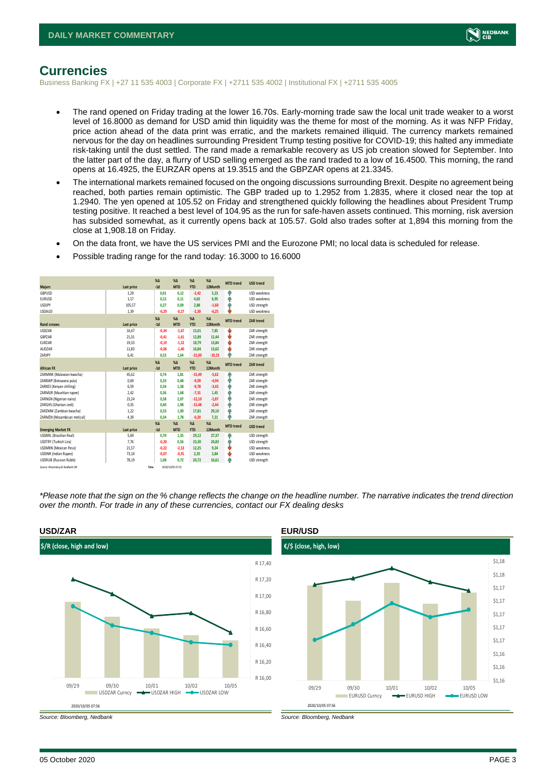

#### <span id="page-2-0"></span>**Currencies**

Business Banking FX | +27 11 535 4003 | Corporate FX | +2711 535 4002 | Institutional FX | +2711 535 4005

- The rand opened on Friday trading at the lower 16.70s. Early-morning trade saw the local unit trade weaker to a worst level of 16.8000 as demand for USD amid thin liquidity was the theme for most of the morning. As it was NFP Friday, price action ahead of the data print was erratic, and the markets remained illiquid. The currency markets remained nervous for the day on headlines surrounding President Trump testing positive for COVID-19; this halted any immediate risk-taking until the dust settled. The rand made a remarkable recovery as US job creation slowed for September. Into the latter part of the day, a flurry of USD selling emerged as the rand traded to a low of 16.4500. This morning, the rand opens at 16.4925, the EURZAR opens at 19.3515 and the GBPZAR opens at 21.3345.
- The international markets remained focused on the ongoing discussions surrounding Brexit. Despite no agreement being reached, both parties remain optimistic. The GBP traded up to 1.2952 from 1.2835, where it closed near the top at 1.2940. The yen opened at 105.52 on Friday and strengthened quickly following the headlines about President Trump testing positive. It reached a best level of 104.95 as the run for safe-haven assets continued. This morning, risk aversion has subsided somewhat, as it currently opens back at 105.57. Gold also trades softer at 1,894 this morning from the close at 1,908.18 on Friday.
- On the data front, we have the US services PMI and the Eurozone PMI; no local data is scheduled for release.
- Possible trading range for the rand today: 16.3000 to 16.6000

| <b>Majors</b>                   | Last price | X <sub>A</sub><br>$-1d$ | X <sub>A</sub><br><b>MTD</b> | $%$ $\Lambda$<br><b>YTD</b> | %<br>12Month | <b>MTD</b> trend | <b>USD trend</b>    |
|---------------------------------|------------|-------------------------|------------------------------|-----------------------------|--------------|------------------|---------------------|
| GBPUSD                          | 1,29       | 0,01                    | 0,12                         | $-2,42$                     | 5,23         | Ŵ                | <b>USD</b> weakness |
| <b>EURUSD</b>                   | 1.17       | 0.15                    | 0.11                         | 4,65                        | 6.95         | Φ                | <b>USD</b> weakness |
| <b>USDJPY</b>                   | 105,57     | 0,27                    | 0.09                         | 2,88                        | $-1,60$      | ŵ                | USD strength        |
| <b>USDAUD</b>                   | 1,39       | $-0,29$                 | $-0,27$                      | $-2,30$                     | $-6,25$      | J,               | <b>USD weakness</b> |
|                                 |            | $\chi_{\Delta}$         | $X\Delta$                    | $% \Delta$                  | $% \Delta$   | <b>MTD</b> trend | ZAR trend           |
| <b>Rand crosses</b>             | Last price | $-1d$                   | <b>MTD</b>                   | <b>YTD</b>                  | 12Month      |                  |                     |
| <b>USDZAR</b>                   | 16.47      | $-0.34$                 | $-1.67$                      | 15,01                       | 7.85         | ψ                | ZAR strength        |
| GBPZAR                          | 21,31      | $-0.41$                 | $-1.61$                      | 12,89                       | 12,44        | ψ                | ZAR strength        |
| EURZAR                          | 19,33      | $-0,19$                 | $-1.52$                      | 18,79                       | 13,84        | ψ                | ZAR strength        |
| AUD7AR                          | 11,83      | $-0.06$                 | $-1.40$                      | 16,84                       | 13,62        | ψ                | ZAR strength        |
| ZARJPY                          | 6,41       | 0,53                    | 1,64                         | $-21,00$                    | $-10,23$     | ń,               | ZAR strength        |
|                                 |            | X <sub>A</sub>          | X <sub>A</sub>               | $%$ $\Lambda$               | $% \Delta$   | <b>MTD</b> trend | <b>ZAR trend</b>    |
| <b>African FX</b>               | Last price | $-1d$                   | <b>MTD</b>                   | <b>YTD</b>                  | 12Month      |                  |                     |
| ZARMWK (Malawian kwacha)        | 45,62      | 0.74                    | 1.81                         | $-15,49$                    | $-5,62$      | ŵ                | ZAR strength        |
| ZARBWP (Botswana pula)          | 0,69       | 0.33                    | 0,48                         | $-9,09$                     | $-4,94$      | Φ                | ZAR strength        |
| ZARKES (Kenyan shilling)        | 6,59       | 0.34                    | 1.38                         | $-9,78$                     | $-3,43$      | ŵ                | ZAR strength        |
| ZARMUR (Mauritian rupee)        | 2,42       | 0.36                    | 1,68                         | $-7,31$                     | 1,45         | Ą                | ZAR strength        |
| ZARNGN (Nigerian naira)         | 23,24      | 0,58                    | 2,07                         | $-12,10$                    | $-2,87$      | Φ                | ZAR strength        |
| ZARGHS (Ghanian cedi)           | 0.35       | 0.40                    | 1.98                         | $-15.48$                    | $-2.44$      | Φ                | ZAR strength        |
| ZARZMW (Zambian kwacha)         | 1,22       | 0.33                    | 1.90                         | 17,81                       | 29,10        | Ŵ                | ZAR strength        |
| ZARMZN (Mozambican metical)     | 4,39       | 0,34                    | 1.78                         | $-0,20$                     | 7,21         | Ą                | ZAR strength        |
|                                 |            | X <sub>A</sub>          | X <sub>A</sub>               | $%$ $\Lambda$               | $% \Delta$   | <b>MTD</b> trend | <b>USD trend</b>    |
| <b>Emerging Market FX</b>       | Last price | $-1d$                   | <b>MTD</b>                   | <b>YTD</b>                  | 12Month      |                  |                     |
| <b>USDBRL</b> (Brazilian Real)  | 5,69       | 0,70                    | 1,35                         | 29,12                       | 27,37        | ŵ                | USD strength        |
| USDTRY (Turkish Lira)           | 7,76       | $-0,20$                 | 0,56                         | 23,30                       | 24,83        | ŵ                | USD strength        |
| <b>USDMXN (Mexican Peso)</b>    | 21,57      | $-0.22$                 | $-2.53$                      | 12.25                       | 9.24         | ψ                | <b>USD</b> weakness |
| <b>USDINR</b> (Indian Rupee)    | 73,10      | $-0,07$                 | $-0.91$                      | 2,35                        | 2,84         | ψ                | <b>USD</b> weakness |
| <b>USDRUB (Russian Ruble)</b>   | 78,19      | 1.08                    | 0.72                         | 20,72                       | 16,61        | Φ                | USD strength        |
| Source: Bloomberg & Nedbank CIB | Time       |                         | 2020/10/05 07:52             |                             |              |                  |                     |

*\*Please note that the sign on the % change reflects the change on the headline number. The narrative indicates the trend direction over the month. For trade in any of these currencies, contact our FX dealing desks*



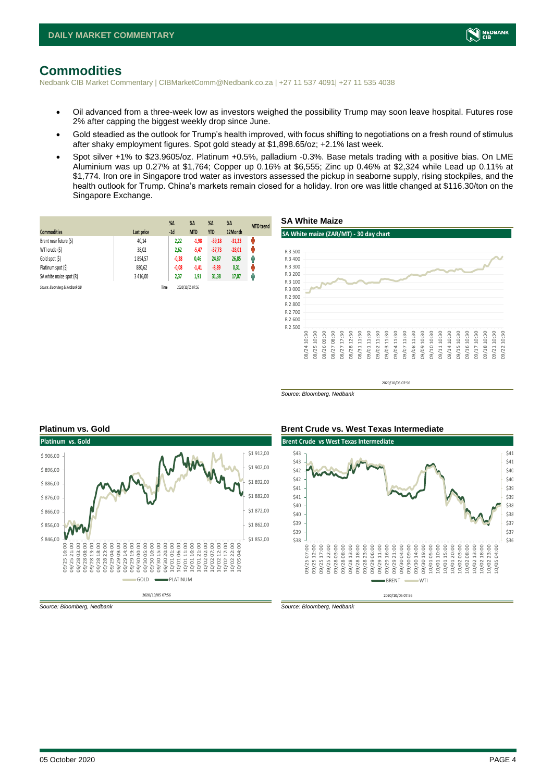

# <span id="page-3-0"></span>**Commodities**

Nedbank CIB Market Commentary | CIBMarketComm@Nedbank.co.za | +27 11 537 4091| +27 11 535 4038

- Oil advanced from a three-week low as investors weighed the possibility Trump may soon leave hospital. Futures rose 2% after capping the biggest weekly drop since June.
- Gold steadied as the outlook for Trump's health improved, with focus shifting to negotiations on a fresh round of stimulus after shaky employment figures. Spot gold steady at \$1,898.65/oz; +2.1% last week.
- Spot silver +1% to \$23.9605/oz. Platinum +0.5%, palladium -0.3%. Base metals trading with a positive bias. On LME Aluminium was up 0.27% at \$1,764; Copper up 0.16% at \$6,555; Zinc up 0.46% at \$2,324 while Lead up 0.11% at \$1,774. Iron ore in Singapore trod water as investors assessed the pickup in seaborne supply, rising stockpiles, and the health outlook for Trump. China's markets remain closed for a holiday. Iron ore was little changed at \$116.30/ton on the Singapore Exchange.

|                                 |            | $%$ $\Delta$ | $\%$ $\Delta$    | $%$ $\Delta$ | $%$ $\Delta$ | <b>MTD</b> trend |
|---------------------------------|------------|--------------|------------------|--------------|--------------|------------------|
| <b>Commodities</b>              | Last price | $-1d$        | <b>MTD</b>       | <b>YTD</b>   | 12Month      |                  |
| Brent near future (\$)          | 40,14      | 2,22         | $-1,98$          | $-39,18$     | $-31,23$     | ψ                |
| WTI crude (\$)                  | 38,02      | 2,62         | $-5,47$          | $-37,73$     | $-28,01$     | Ů                |
| Gold spot (\$)                  | 1894,57    | $-0,28$      | 0,46             | 24,87        | 26,85        | q,               |
| Platinum spot (\$)              | 880,62     | $-0,08$      | $-1,41$          | $-8,89$      | 0,31         | U                |
| SA white maize spot (R)         | 3 4 1 6.00 | 2,37         | 1,91             | 31,38        | 17,07        | Ĥ                |
| Source: Bloomberg & Nedbank CIB |            | Time         | 2020/10/05 07:56 |              |              |                  |



2020/10/05 07:56

*Source: Bloomberg, Nedbank*



#### **Platinum vs. Gold Brent Crude vs. West Texas Intermediate**



*Source: Bloomberg, Nedbank Source: Bloomberg, Nedbank*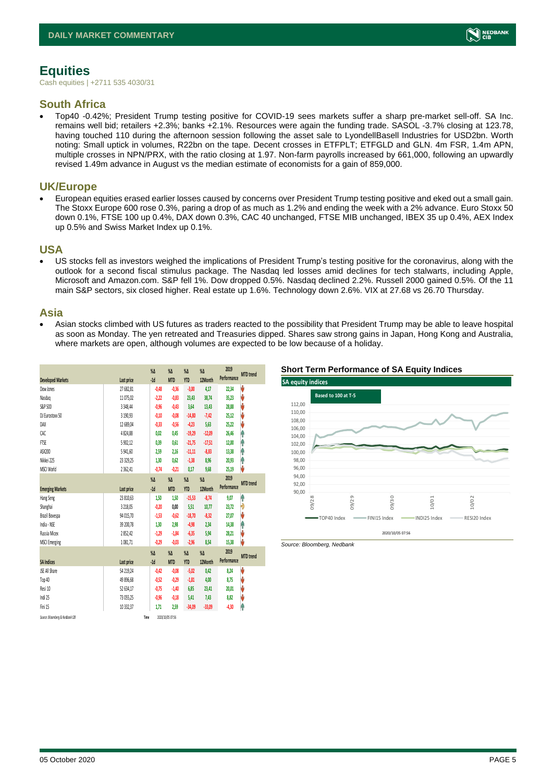# <span id="page-4-0"></span>**Equities**

Cash equities | +2711 535 4030/31

### **South Africa**

• Top40 -0.42%; President Trump testing positive for COVID-19 sees markets suffer a sharp pre-market sell-off. SA Inc. remains well bid; retailers +2.3%; banks +2.1%. Resources were again the funding trade. SASOL -3.7% closing at 123.78, having touched 110 during the afternoon session following the asset sale to LyondellBasell Industries for USD2bn. Worth noting: Small uptick in volumes, R22bn on the tape. Decent crosses in ETFPLT; ETFGLD and GLN. 4m FSR, 1.4m APN, multiple crosses in NPN/PRX, with the ratio closing at 1.97. Non-farm payrolls increased by 661,000, following an upwardly revised 1.49m advance in August vs the median estimate of economists for a gain of 859,000.

#### **UK/Europe**

• European equities erased earlier losses caused by concerns over President Trump testing positive and eked out a small gain. The Stoxx Europe 600 rose 0.3%, paring a drop of as much as 1.2% and ending the week with a 2% advance. Euro Stoxx 50 down 0.1%, FTSE 100 up 0.4%, DAX down 0.3%, CAC 40 unchanged, FTSE MIB unchanged, IBEX 35 up 0.4%, AEX Index up 0.5% and Swiss Market Index up 0.1%.

#### **USA**

• US stocks fell as investors weighed the implications of President Trump's testing positive for the coronavirus, along with the outlook for a second fiscal stimulus package. The Nasdaq led losses amid declines for tech stalwarts, including Apple, Microsoft and Amazon.com. S&P fell 1%. Dow dropped 0.5%. Nasdaq declined 2.2%. Russell 2000 gained 0.5%. Of the 11 main S&P sectors, six closed higher. Real estate up 1.6%. Technology down 2.6%. VIX at 27.68 vs 26.70 Thursday.

#### **Asia**

• Asian stocks climbed with US futures as traders reacted to the possibility that President Trump may be able to leave hospital as soon as Monday. The yen retreated and Treasuries dipped. Shares saw strong gains in Japan, Hong Kong and Australia, where markets are open, although volumes are expected to be low because of a holiday.

|                                 |              | $\%$ $\Delta$<br>$-1d$ | $\%$ $\Delta$<br><b>MTD</b> | $\%$ $\Delta$<br><b>YTD</b> | $\%$ $\Delta$<br>12Month | 2019<br>Performance | <b>MTD</b> trend |
|---------------------------------|--------------|------------------------|-----------------------------|-----------------------------|--------------------------|---------------------|------------------|
| <b>Developed Markets</b>        | Last price   |                        |                             |                             |                          |                     |                  |
| Dow Jones                       | 27 682,81    | $-0.48$                | $-0,36$                     | $-3,00$                     | 4,17                     | 22,34               | J                |
| Nasdao                          | 11 075,02    | $-2,22$                | $-0.83$                     | 23,43                       | 38,74                    | 35,23               | V                |
| S&P 500                         | 3 3 4 8.4 4  | $-0,96$                | $-0.43$                     | 3.64                        | 13,43                    | 28,88               | V                |
| DJ Eurostoxx 50                 | 3 190,93     | $-0,10$                | $-0,08$                     | $-14,80$                    | $-7,42$                  | 25,12               | J                |
| DAX                             | 12 689.04    | $-0.33$                | $-0,56$                     | $-4,23$                     | 5,63                     | 25,22               | J                |
| CAC                             | 4824.88      | 0.02                   | 0.45                        | $-19,29$                    | $-12,09$                 | 26,46               | Ŷ                |
| FTSE                            | 5 902,12     | 0,39                   | 0.61                        | $-21,75$                    | $-17,51$                 | 12,00               | ۸                |
| ASX200                          | 5 941,60     | 2.59                   | 2.16                        | $-11,11$                    | $-8,83$                  | 13,38               | ۸                |
| Nikkei 225                      | 23 329.25    | 1,30                   | 0.62                        | $-1,38$                     | 8,96                     | 20,93               | ۸                |
| MSCI World                      | 2 3 6 2, 4 1 | $-0,74$                | $-0.21$                     | 0,17                        | 9,68                     | 25,19               | J                |
|                                 |              | $\%$ $\Delta$          | $\%$ $\Delta$               | $\%$ $\Delta$               | $\%$ $\Delta$            | 2019                |                  |
| <b>Emerging Markets</b>         | Last price   | $-1d$                  | <b>MTD</b>                  | <b>YTD</b>                  | 12Month                  | Performance         | <b>MTD</b> trend |
| Hang Seng                       | 23 810,63    | 1,50                   | 1,50                        | $-15,53$                    | $-8,74$                  | 9,07                | ۸                |
| Shanghai                        | 3 2 18.05    | $-0.20$                | 0.00                        | 5,51                        | 10,77                    | 23,72               | Đ                |
| Brazil Bovespa                  | 94 015.70    | $-1,53$                | $-0.62$                     | $-18,70$                    | $-8.32$                  | 27.07               | V                |
| India - NSE                     | 39 200,78    | 1,30                   | 2,98                        | $-4,98$                     | 2,34                     | 14,38               | ٨                |
| Russia Micex                    | 2852,42      | $-1,29$                | $-1,84$                     | $-6,35$                     | 5,94                     | 28,21               | V                |
| <b>MSCI Emerging</b>            | 1081,71      | $-0,29$                | $-0,03$                     | $-2,96$                     | 8,54                     | 15,38               | J                |
|                                 |              | $\%$ $\Delta$          | $\%$ $\Delta$               | $\%$ $\Delta$               | $\%$ $\Delta$            | 2019                | <b>MTD</b> trend |
| <b>SA Indices</b>               | Last price   | $-1d$                  | <b>MTD</b>                  | <b>YTD</b>                  | 12Month                  | Performance         |                  |
| <b>JSE All Share</b>            | 54 219,24    | $-0.42$                | $-0.08$                     | $-5,02$                     | 0.42                     | 8,24                | J                |
| Top 40                          | 49 896,68    | $-0,52$                | $-0,29$                     | $-1,81$                     | 4,00                     | 8,75                | V                |
| Resi 10                         | 52 634,17    | $-0.75$                | $-1.40$                     | 6,85                        | 23,41                    | 20,01               | V                |
| Indi 25                         | 73 055,25    | $-0,96$                | $-0.18$                     | 5,41                        | 7,43                     | 8,82                | V                |
| Fini 15                         | 10 332.37    | 1.71                   | 2.59                        | $-34,09$                    | $-33,09$                 | $-4,30$             | ۸                |
| Source: Bloomberg & Nedbank CIB |              | Time                   | 2020/10/05 07:56            |                             |                          |                     |                  |

#### **Short Term Performance of SA Equity Indices**



*Source: Bloomberg, Nedbank*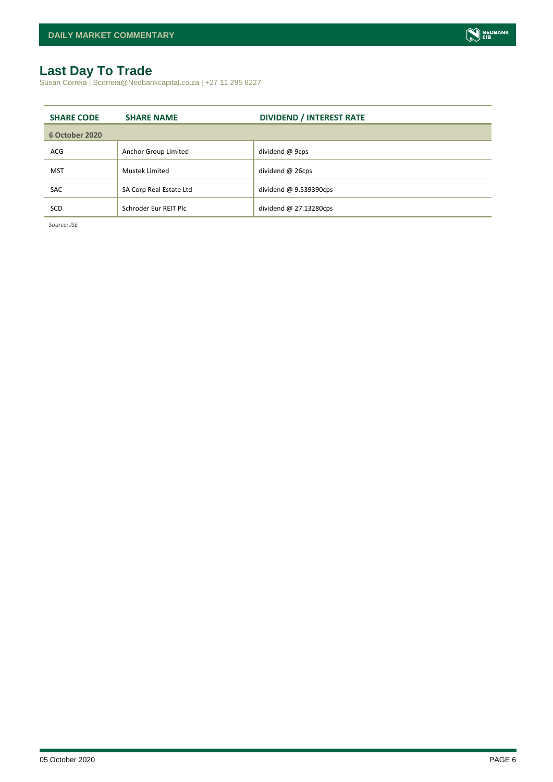# <span id="page-5-0"></span>**Last Day To Trade**

Susan Correia | Scorreia@Nedbankcapital.co.za | +27 11 295 8227

| <b>SHARE CODE</b> | <b>SHARE NAME</b>       | <b>DIVIDEND / INTEREST RATE</b> |
|-------------------|-------------------------|---------------------------------|
| 6 October 2020    |                         |                                 |
| ACG               | Anchor Group Limited    | dividend @ 9cps                 |
| <b>MST</b>        | <b>Mustek Limited</b>   | dividend @ 26cps                |
| <b>SAC</b>        | SA Corp Real Estate Ltd | dividend $@9.539390cps$         |
| SCD               | Schroder Eur REIT Plc   | dividend $@$ 27.13280cps        |

*Source: JSE*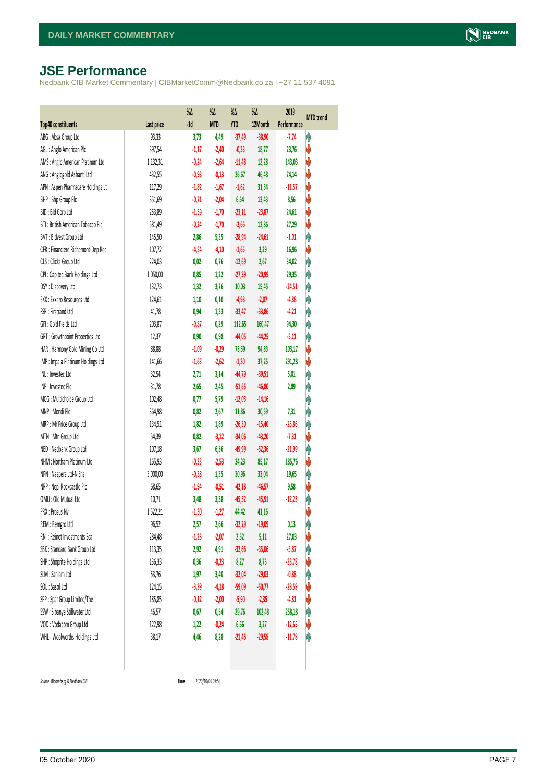# <span id="page-6-0"></span>**JSE Performance**

Nedbank CIB Market Commentary | CIBMarketComm@Nedbank.co.za | +27 11 537 4091

|                                    |              | %Δ      | %Δ         | %Δ         | %Δ       | 2019        | <b>MTD</b> trend |
|------------------------------------|--------------|---------|------------|------------|----------|-------------|------------------|
| <b>Top40 constituents</b>          | Last price   | $-1d$   | <b>MTD</b> | <b>YTD</b> | 12Month  | Performance |                  |
| ABG: Absa Group Ltd                | 93,33        | 3,73    | 4,49       | $-37,49$   | $-38,90$ | $-7,74$     | φ                |
| AGL: Anglo American Plc            | 397,54       | $-1,17$ | $-2,40$    | $-0,33$    | 18,77    | 23,76       | V                |
| AMS: Anglo American Platinum Ltd   | 1 1 3 2, 3 1 | $-0,24$ | $-2,64$    | $-11,48$   | 12,28    | 143,03      | V                |
| ANG: Anglogold Ashanti Ltd         | 432,55       | $-0,93$ | $-0,13$    | 36,67      | 46,48    | 74,14       | V                |
| APN : Aspen Pharmacare Holdings Lt | 117,29       | $-1,82$ | $-1,67$    | $-1,62$    | 31,34    | $-11,57$    | V                |
| BHP: Bhp Group Plc                 | 351,69       | $-0,71$ | $-2,04$    | 6,64       | 13,43    | 8,56        | ♦                |
| BID: Bid Corp Ltd                  | 253,89       | $-1,59$ | $-1,70$    | $-23,11$   | $-23,87$ | 24,61       | V                |
| BTI: British American Tobacco Plc  | 581,49       | $-0,24$ | $-1,70$    | $-2,66$    | 12,86    | 27,29       | ψ                |
| BVT: Bidvest Group Ltd             | 145,50       | 2,86    | 5,35       | $-28,94$   | $-24,61$ | $-1,01$     | Ą                |
| CFR : Financiere Richemont-Dep Rec | 107,72       | $-4,54$ | $-4,10$    | $-1,65$    | 3,29     | 16,96       | V                |
| CLS : Clicks Group Ltd             | 224,03       | 0,02    | 0,76       | $-12,69$   | 2,67     | 34,02       | Ą                |
| CPI : Capitec Bank Holdings Ltd    | 1050,00      | 0,85    | 1,22       | $-27,39$   | $-20,99$ | 29,35       | φ                |
| DSY: Discovery Ltd                 | 132,73       | 1,32    | 3,76       | 10,03      | 15,45    | $-24,51$    | φ                |
| EXX : Exxaro Resources Ltd         | 124,61       | 1,10    | 0,10       | $-4,98$    | $-2,07$  | $-4,88$     | φ                |
| FSR: Firstrand Ltd                 | 41,78        | 0,94    | 1,33       | $-33,47$   | $-33,86$ | $-4,21$     | φ                |
| GFI: Gold Fields Ltd               | 203,87       | $-0,87$ | 0,29       | 112,65     | 160,47   | 94,30       | φ                |
| GRT : Growthpoint Properties Ltd   | 12,37        | 0,90    | 0,98       | $-44,05$   | $-44,25$ | $-5,11$     | φ                |
| HAR: Harmony Gold Mining Co Ltd    | 88,88        | $-1,09$ | $-0,29$    | 73,59      | 94,83    | 103,17      | ♦                |
| IMP : Impala Platinum Holdings Ltd | 141,66       | $-1,63$ | $-2,62$    | $-1,30$    | 37,25    | 291,28      | ♦                |
| INL: Investec Ltd                  | 32,54        | 2,71    | 3,14       | $-44,79$   | $-39,51$ | 5,01        | φ                |
| INP: Invested Plc                  | 31,78        | 2,65    | 2,45       | $-51,65$   | $-46,80$ | 2,89        | φ                |
| MCG: Multichoice Group Ltd         | 102,48       | 0,77    | 5,79       | $-12,03$   | $-14,16$ |             | φ                |
| MNP: Mondi Plc                     | 364,98       | 0,82    | 2,67       | 11,86      | 30,59    | 7,31        | Ą                |
| MRP : Mr Price Group Ltd           | 134,51       | 1,82    | 1,89       | $-26,30$   | $-15,40$ | $-25,86$    | φ                |
| MTN: Mtn Group Ltd                 | 54,39        | 0,82    | $-3,12$    | $-34,06$   | $-43,20$ | $-7,31$     | ψ                |
| NED : Nedbank Group Ltd            | 107,18       | 3,67    | 6,36       | $-49,99$   | $-52,36$ | $-21,99$    | φ                |
| NHM: Northam Platinum Ltd          | 165,93       | $-0,33$ | $-2,53$    | 34,23      | 85,17    | 185,76      | ψ                |
| NPN : Naspers Ltd-N Shs            | 3 000,00     | $-0,38$ | 1,35       | 30,96      | 33,04    | 19,65       | φ                |
| NRP : Nepi Rockcastle Plc          | 68,65        | $-1,94$ | $-0,51$    | $-42,18$   | $-46,57$ | 9,58        | ψ                |
| OMU: Old Mutual Ltd                | 10,71        | 3,48    | 3,38       | $-45,52$   | $-45,91$ | $-12,23$    | φ                |
| PRX: Prosus Nv                     | 1522,21      | $-1,30$ | $-1,27$    | 44,42      | 41,16    |             | V                |
| REM : Remgro Ltd                   | 96,52        | 2,57    | 2,66       | $-32,29$   | $-19,09$ | 0,13        | f                |
| RNI : Reinet Investments Sca       | 284,48       | $-1,23$ | $-2,07$    | 2,52       | 5,11     | 27,03       | ψ                |
| SBK: Standard Bank Group Ltd       | 113,35       | 2,92    | 4,91       | $-32,66$   | $-35,06$ | $-5,87$     | Ĥ                |
| SHP: Shoprite Holdings Ltd         | 136,33       | 0,36    | $-0,23$    | 8,27       | 8,75     | $-33,78$    | ψ                |
| SLM : Sanlam Ltd                   | 53,76        | 1,97    | 3,40       | $-32,04$   | $-29,03$ | $-0,88$     | φ                |
| SOL: Sasol Ltd                     | 124,15       | $-3,39$ | $-4,18$    | $-59,09$   | $-50,77$ | $-28,59$    | ψ                |
| SPP: Spar Group Limited/The        | 185,85       | $-0,12$ | $-2,00$    | $-5,90$    | $-2,35$  | $-4,81$     | ψ                |
| SSW : Sibanye Stillwater Ltd       | 46,57        | 0,67    | 0,54       | 29,76      | 102,48   | 258,18      | φ                |
| VOD: Vodacom Group Ltd             | 122,98       | 1,22    | $-0,24$    | 6,66       | 3,27     | $-12,65$    | ψ                |
| WHL: Woolworths Holdings Ltd       | 38,17        | 4,46    | 8,28       | $-21,46$   | $-29,58$ | $-11,78$    | φ                |
|                                    |              |         |            |            |          |             |                  |

 $Source: Bloomberg & Nedbank *CB*$ 

Time 2020/10/05 07:56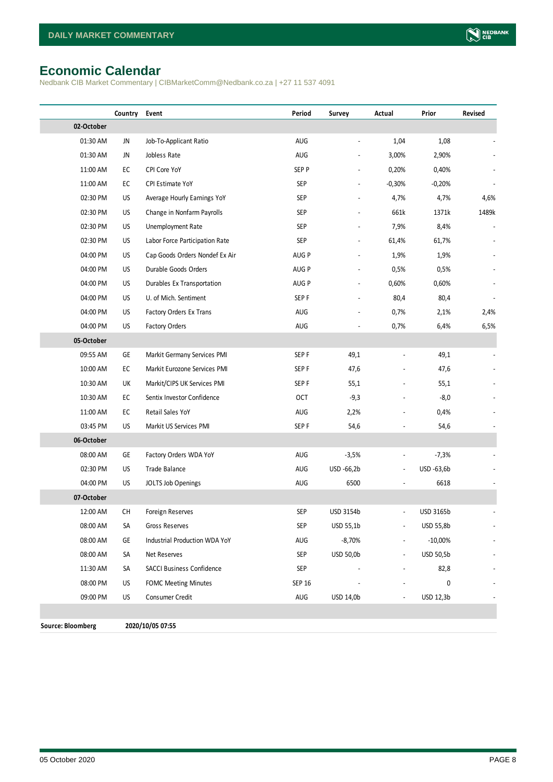# <span id="page-7-0"></span>**Economic Calendar**

Nedbank CIB Market Commentary | CIBMarketComm@Nedbank.co.za | +27 11 537 4091

|                   | Country    | Event                            | Period           | Survey         | Actual                       | Prior      | Revised |
|-------------------|------------|----------------------------------|------------------|----------------|------------------------------|------------|---------|
| 02-October        |            |                                  |                  |                |                              |            |         |
| 01:30 AM          | JN         | Job-To-Applicant Ratio           | AUG              | $\overline{a}$ | 1,04                         | 1,08       |         |
| 01:30 AM          | JN         | Jobless Rate                     | AUG              |                | 3,00%                        | 2,90%      |         |
| 11:00 AM          | EC         | CPI Core YoY                     | SEP P            |                | 0,20%                        | 0,40%      |         |
| 11:00 AM          | EC         | CPI Estimate YoY                 | <b>SEP</b>       |                | $-0,30%$                     | $-0,20%$   |         |
| 02:30 PM          | <b>US</b>  | Average Hourly Earnings YoY      | SEP              |                | 4,7%                         | 4,7%       | 4,6%    |
| 02:30 PM          | US         | Change in Nonfarm Payrolls       | SEP              |                | 661k                         | 1371k      | 1489k   |
| 02:30 PM          | US         | Unemployment Rate                | SEP              |                | 7,9%                         | 8,4%       |         |
| 02:30 PM          | <b>US</b>  | Labor Force Participation Rate   | <b>SEP</b>       | $\frac{1}{2}$  | 61,4%                        | 61,7%      |         |
| 04:00 PM          | US         | Cap Goods Orders Nondef Ex Air   | AUG P            |                | 1,9%                         | 1,9%       |         |
| 04:00 PM          | US         | Durable Goods Orders             | AUG P            |                | 0,5%                         | 0,5%       |         |
| 04:00 PM          | <b>US</b>  | Durables Ex Transportation       | AUG P            |                | 0,60%                        | 0,60%      |         |
| 04:00 PM          | <b>US</b>  | U. of Mich. Sentiment            | SEP <sub>F</sub> |                | 80,4                         | 80,4       |         |
| 04:00 PM          | <b>US</b>  | Factory Orders Ex Trans          | AUG              |                | 0,7%                         | 2,1%       | 2,4%    |
| 04:00 PM          | <b>US</b>  | Factory Orders                   | AUG              |                | 0,7%                         | 6,4%       | 6,5%    |
| 05-October        |            |                                  |                  |                |                              |            |         |
| 09:55 AM          | GE         | Markit Germany Services PMI      | SEP <sub>F</sub> | 49,1           |                              | 49,1       |         |
| 10:00 AM          | EC         | Markit Eurozone Services PMI     | SEP F            | 47,6           |                              | 47,6       |         |
| 10:30 AM          | UK         | Markit/CIPS UK Services PMI      | SEP F            | 55,1           |                              | 55,1       |         |
| 10:30 AM          | EC         | Sentix Investor Confidence       | OCT              | $-9,3$         | $\overline{\phantom{0}}$     | $-8,0$     |         |
| 11:00 AM          | ${\sf EC}$ | Retail Sales YoY                 | AUG              | 2,2%           |                              | 0,4%       |         |
| 03:45 PM          | US         | Markit US Services PMI           | SEP <sub>F</sub> | 54,6           |                              | 54,6       |         |
| 06-October        |            |                                  |                  |                |                              |            |         |
| 08:00 AM          | GE         | Factory Orders WDA YoY           | <b>AUG</b>       | $-3,5%$        | $\overline{\phantom{a}}$     | $-7,3%$    |         |
| 02:30 PM          | <b>US</b>  | Trade Balance                    | AUG              | USD -66,2b     | $\qquad \qquad \blacksquare$ | USD -63,6b |         |
| 04:00 PM          | <b>US</b>  | JOLTS Job Openings               | AUG              | 6500           |                              | 6618       |         |
| 07-October        |            |                                  |                  |                |                              |            |         |
| 12:00 AM          | CH         | Foreign Reserves                 | <b>SEP</b>       | USD 3154b      | $\overline{a}$               | USD 3165b  |         |
| 08:00 AM          | SA         | Gross Reserves                   | SEP              | USD 55,1b      |                              | USD 55,8b  |         |
| 08:00 AM          | GE         | Industrial Production WDA YoY    | AUG              | $-8,70%$       |                              | $-10,00%$  |         |
| 08:00 AM          | SA         | Net Reserves                     | <b>SEP</b>       | USD 50,0b      | $\overline{\phantom{a}}$     | USD 50,5b  |         |
| 11:30 AM          | SA         | <b>SACCI Business Confidence</b> | <b>SEP</b>       |                | $\overline{\phantom{a}}$     | 82,8       |         |
| 08:00 PM          | US         | <b>FOMC Meeting Minutes</b>      | <b>SEP 16</b>    |                |                              | 0          |         |
| 09:00 PM          | US         | Consumer Credit                  | AUG              | USD 14,0b      |                              | USD 12,3b  |         |
|                   |            |                                  |                  |                |                              |            |         |
| Source: Bloomberg |            | 2020/10/05 07:55                 |                  |                |                              |            |         |